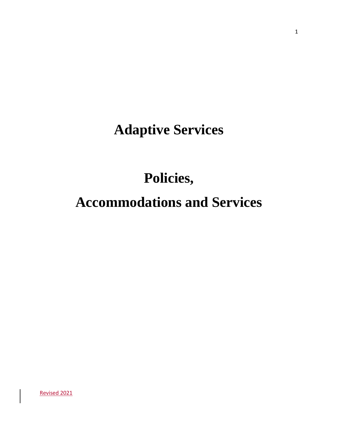# **Adaptive Services**

# **Policies,**

# **Accommodations and Services**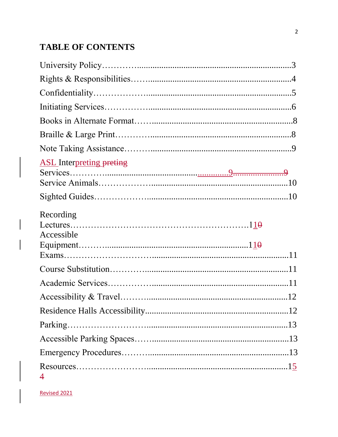## **TABLE OF CONTENTS**

| <b>ASL</b> Interpreting preting |  |
|---------------------------------|--|
|                                 |  |
| Recording<br>Accessible         |  |
|                                 |  |
|                                 |  |
|                                 |  |
|                                 |  |
|                                 |  |
|                                 |  |
|                                 |  |
|                                 |  |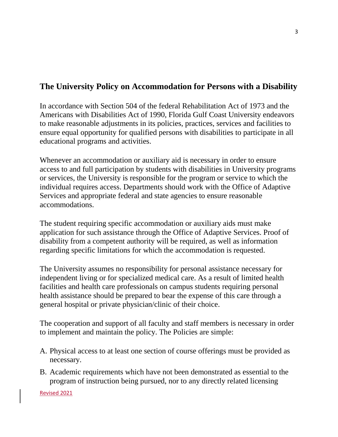#### **The University Policy on Accommodation for Persons with a Disability**

In accordance with Section 504 of the federal Rehabilitation Act of 1973 and the Americans with Disabilities Act of 1990, Florida Gulf Coast University endeavors to make reasonable adjustments in its policies, practices, services and facilities to ensure equal opportunity for qualified persons with disabilities to participate in all educational programs and activities.

Whenever an accommodation or auxiliary aid is necessary in order to ensure access to and full participation by students with disabilities in University programs or services, the University is responsible for the program or service to which the individual requires access. Departments should work with the Office of Adaptive Services and appropriate federal and state agencies to ensure reasonable accommodations.

The student requiring specific accommodation or auxiliary aids must make application for such assistance through the Office of Adaptive Services. Proof of disability from a competent authority will be required, as well as information regarding specific limitations for which the accommodation is requested.

The University assumes no responsibility for personal assistance necessary for independent living or for specialized medical care. As a result of limited health facilities and health care professionals on campus students requiring personal health assistance should be prepared to bear the expense of this care through a general hospital or private physician/clinic of their choice.

The cooperation and support of all faculty and staff members is necessary in order to implement and maintain the policy. The Policies are simple:

- A. Physical access to at least one section of course offerings must be provided as necessary.
- B. Academic requirements which have not been demonstrated as essential to the program of instruction being pursued, nor to any directly related licensing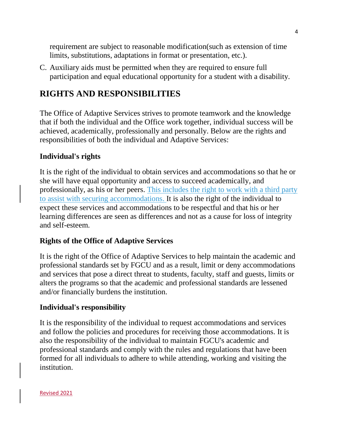requirement are subject to reasonable modification(such as extension of time limits, substitutions, adaptations in format or presentation, etc.).

C. Auxiliary aids must be permitted when they are required to ensure full participation and equal educational opportunity for a student with a disability.

#### **RIGHTS AND RESPONSIBILITIES**

The Office of Adaptive Services strives to promote teamwork and the knowledge that if both the individual and the Office work together, individual success will be achieved, academically, professionally and personally. Below are the rights and responsibilities of both the individual and Adaptive Services:

#### **Individual's rights**

It is the right of the individual to obtain services and accommodations so that he or she will have equal opportunity and access to succeed academically, and professionally, as his or her peers. This includes the right to work with a third party to assist with securing accommodations. It is also the right of the individual to expect these services and accommodations to be respectful and that his or her learning differences are seen as differences and not as a cause for loss of integrity and self-esteem.

#### **Rights of the Office of Adaptive Services**

It is the right of the Office of Adaptive Services to help maintain the academic and professional standards set by FGCU and as a result, limit or deny accommodations and services that pose a direct threat to students, faculty, staff and guests, limits or alters the programs so that the academic and professional standards are lessened and/or financially burdens the institution.

#### **Individual's responsibility**

It is the responsibility of the individual to request accommodations and services and follow the policies and procedures for receiving those accommodations. It is also the responsibility of the individual to maintain FGCU's academic and professional standards and comply with the rules and regulations that have been formed for all individuals to adhere to while attending, working and visiting the institution.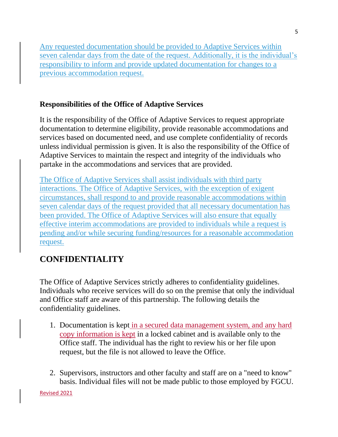Any requested documentation should be provided to Adaptive Services within seven calendar days from the date of the request. Additionally, it is the individual's responsibility to inform and provide updated documentation for changes to a previous accommodation request.

#### **Responsibilities of the Office of Adaptive Services**

It is the responsibility of the Office of Adaptive Services to request appropriate documentation to determine eligibility, provide reasonable accommodations and services based on documented need, and use complete confidentiality of records unless individual permission is given. It is also the responsibility of the Office of Adaptive Services to maintain the respect and integrity of the individuals who partake in the accommodations and services that are provided.

The Office of Adaptive Services shall assist individuals with third party interactions. The Office of Adaptive Services, with the exception of exigent circumstances, shall respond to and provide reasonable accommodations within seven calendar days of the request provided that all necessary documentation has been provided. The Office of Adaptive Services will also ensure that equally effective interim accommodations are provided to individuals while a request is pending and/or while securing funding/resources for a reasonable accommodation request.

## **CONFIDENTIALITY**

The Office of Adaptive Services strictly adheres to confidentiality guidelines. Individuals who receive services will do so on the premise that only the individual and Office staff are aware of this partnership. The following details the confidentiality guidelines.

- 1. Documentation is kept in a secured data management system, and any hard copy information is kept in a locked cabinet and is available only to the Office staff. The individual has the right to review his or her file upon request, but the file is not allowed to leave the Office.
- 2. Supervisors, instructors and other faculty and staff are on a "need to know" basis. Individual files will not be made public to those employed by FGCU.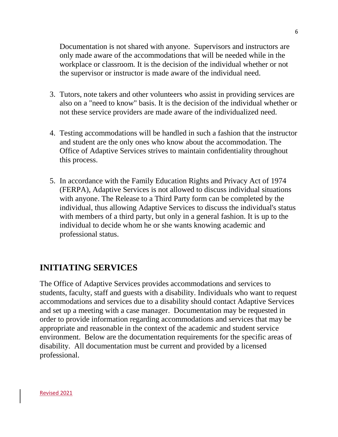Documentation is not shared with anyone. Supervisors and instructors are only made aware of the accommodations that will be needed while in the workplace or classroom. It is the decision of the individual whether or not the supervisor or instructor is made aware of the individual need.

- 3. Tutors, note takers and other volunteers who assist in providing services are also on a "need to know" basis. It is the decision of the individual whether or not these service providers are made aware of the individualized need.
- 4. Testing accommodations will be handled in such a fashion that the instructor and student are the only ones who know about the accommodation. The Office of Adaptive Services strives to maintain confidentiality throughout this process.
- 5. In accordance with the Family Education Rights and Privacy Act of 1974 (FERPA), Adaptive Services is not allowed to discuss individual situations with anyone. The Release to a Third Party form can be completed by the individual, thus allowing Adaptive Services to discuss the individual's status with members of a third party, but only in a general fashion. It is up to the individual to decide whom he or she wants knowing academic and professional status.

#### **INITIATING SERVICES**

The Office of Adaptive Services provides accommodations and services to students, faculty, staff and guests with a disability. Individuals who want to request accommodations and services due to a disability should contact Adaptive Services and set up a meeting with a case manager. Documentation may be requested in order to provide information regarding accommodations and services that may be appropriate and reasonable in the context of the academic and student service environment. Below are the documentation requirements for the specific areas of disability. All documentation must be current and provided by a licensed professional.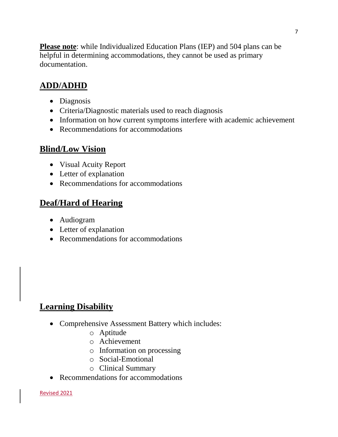**Please note**: while Individualized Education Plans (IEP) and 504 plans can be helpful in determining accommodations, they cannot be used as primary documentation.

# **ADD/ADHD**

- Diagnosis
- Criteria/Diagnostic materials used to reach diagnosis
- Information on how current symptoms interfere with academic achievement
- Recommendations for accommodations

## **Blind/Low Vision**

- Visual Acuity Report
- Letter of explanation
- Recommendations for accommodations

## **Deaf/Hard of Hearing**

- Audiogram
- Letter of explanation
- Recommendations for accommodations

## **Learning Disability**

- Comprehensive Assessment Battery which includes:
	- o Aptitude
	- o Achievement
	- o Information on processing
	- o Social-Emotional
	- o Clinical Summary
- Recommendations for accommodations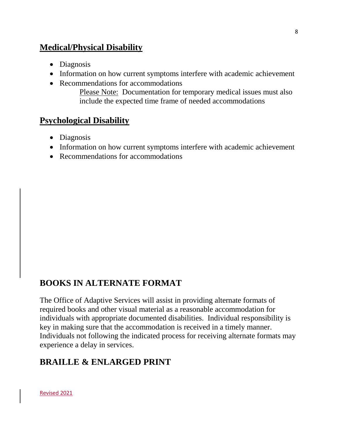#### **Medical/Physical Disability**

- Diagnosis
- Information on how current symptoms interfere with academic achievement
- Recommendations for accommodations

Please Note: Documentation for temporary medical issues must also include the expected time frame of needed accommodations

#### **Psychological Disability**

- Diagnosis
- Information on how current symptoms interfere with academic achievement
- Recommendations for accommodations

## **BOOKS IN ALTERNATE FORMAT**

The Office of Adaptive Services will assist in providing alternate formats of required books and other visual material as a reasonable accommodation for individuals with appropriate documented disabilities. Individual responsibility is key in making sure that the accommodation is received in a timely manner. Individuals not following the indicated process for receiving alternate formats may experience a delay in services.

## **BRAILLE & ENLARGED PRINT**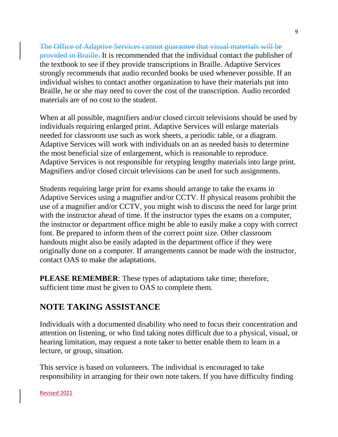The Office of Adaptive Services cannot guarantee that visual materials will be provided in Braille. It is recommended that the individual contact the publisher of the textbook to see if they provide transcriptions in Braille. Adaptive Services strongly recommends that audio recorded books be used whenever possible. If an individual wishes to contact another organization to have their materials put into Braille, he or she may need to cover the cost of the transcription. Audio recorded materials are of no cost to the student.

When at all possible, magnifiers and/or closed circuit televisions should be used by individuals requiring enlarged print. Adaptive Services will enlarge materials needed for classroom use such as work sheets, a periodic table, or a diagram. Adaptive Services will work with individuals on an as needed basis to determine the most beneficial size of enlargement, which is reasonable to reproduce. Adaptive Services is not responsible for retyping lengthy materials into large print. Magnifiers and/or closed circuit televisions can be used for such assignments.

Students requiring large print for exams should arrange to take the exams in Adaptive Services using a magnifier and/or CCTV. If physical reasons prohibit the use of a magnifier and/or CCTV, you might wish to discuss the need for large print with the instructor ahead of time. If the instructor types the exams on a computer, the instructor or department office might be able to easily make a copy with correct font. Be prepared to inform them of the correct point size. Other classroom handouts might also be easily adapted in the department office if they were originally done on a computer. If arrangements cannot be made with the instructor, contact OAS to make the adaptations.

**PLEASE REMEMBER**: These types of adaptations take time; therefore, sufficient time must be given to OAS to complete them.

## **NOTE TAKING ASSISTANCE**

Individuals with a documented disability who need to focus their concentration and attention on listening, or who find taking notes difficult due to a physical, visual, or hearing limitation, may request a note taker to better enable them to learn in a lecture, or group, situation.

This service is based on volunteers. The individual is encouraged to take responsibility in arranging for their own note takers. If you have difficulty finding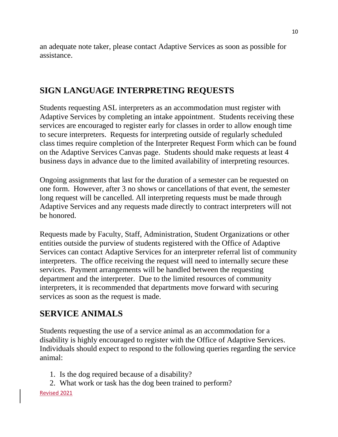an adequate note taker, please contact Adaptive Services as soon as possible for assistance.

#### **SIGN LANGUAGE INTERPRETING REQUESTS**

Students requesting ASL interpreters as an accommodation must register with Adaptive Services by completing an intake appointment. Students receiving these services are encouraged to register early for classes in order to allow enough time to secure interpreters. Requests for interpreting outside of regularly scheduled class times require completion of the Interpreter Request Form which can be found on the Adaptive Services Canvas page. Students should make requests at least 4 business days in advance due to the limited availability of interpreting resources.

Ongoing assignments that last for the duration of a semester can be requested on one form. However, after 3 no shows or cancellations of that event, the semester long request will be cancelled. All interpreting requests must be made through Adaptive Services and any requests made directly to contract interpreters will not be honored.

Requests made by Faculty, Staff, Administration, Student Organizations or other entities outside the purview of students registered with the Office of Adaptive Services can contact Adaptive Services for an interpreter referral list of community interpreters. The office receiving the request will need to internally secure these services. Payment arrangements will be handled between the requesting department and the interpreter. Due to the limited resources of community interpreters, it is recommended that departments move forward with securing services as soon as the request is made.

#### **SERVICE ANIMALS**

Students requesting the use of a service animal as an accommodation for a disability is highly encouraged to register with the Office of Adaptive Services. Individuals should expect to respond to the following queries regarding the service animal:

- 1. Is the dog required because of a disability?
- 2. What work or task has the dog been trained to perform?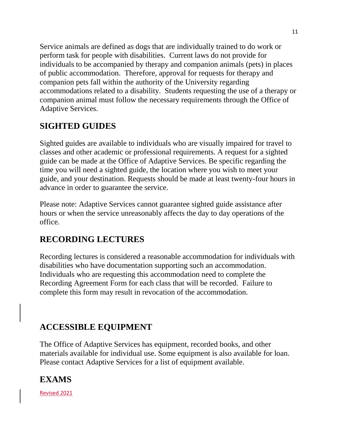Service animals are defined as dogs that are individually trained to do work or perform task for people with disabilities. Current laws do not provide for individuals to be accompanied by therapy and companion animals (pets) in places of public accommodation. Therefore, approval for requests for therapy and companion pets fall within the authority of the University regarding accommodations related to a disability. Students requesting the use of a therapy or companion animal must follow the necessary requirements through the Office of Adaptive Services.

## **SIGHTED GUIDES**

Sighted guides are available to individuals who are visually impaired for travel to classes and other academic or professional requirements. A request for a sighted guide can be made at the Office of Adaptive Services. Be specific regarding the time you will need a sighted guide, the location where you wish to meet your guide, and your destination. Requests should be made at least twenty-four hours in advance in order to guarantee the service.

Please note: Adaptive Services cannot guarantee sighted guide assistance after hours or when the service unreasonably affects the day to day operations of the office.

## **RECORDING LECTURES**

Recording lectures is considered a reasonable accommodation for individuals with disabilities who have documentation supporting such an accommodation. Individuals who are requesting this accommodation need to complete the Recording Agreement Form for each class that will be recorded. Failure to complete this form may result in revocation of the accommodation.

## **ACCESSIBLE EQUIPMENT**

The Office of Adaptive Services has equipment, recorded books, and other materials available for individual use. Some equipment is also available for loan. Please contact Adaptive Services for a list of equipment available.

## **EXAMS**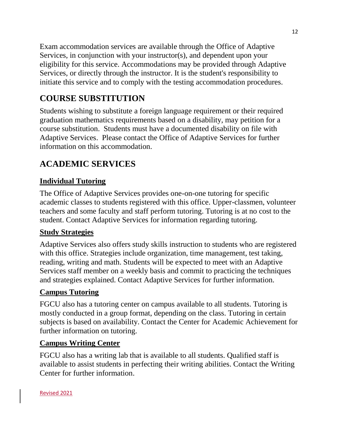Exam accommodation services are available through the Office of Adaptive Services, in conjunction with your instructor(s), and dependent upon your eligibility for this service. Accommodations may be provided through Adaptive Services, or directly through the instructor. It is the student's responsibility to initiate this service and to comply with the testing accommodation procedures.

# **COURSE SUBSTITUTION**

Students wishing to substitute a foreign language requirement or their required graduation mathematics requirements based on a disability, may petition for a course substitution. Students must have a documented disability on file with Adaptive Services. Please contact the Office of Adaptive Services for further information on this accommodation.

# **ACADEMIC SERVICES**

#### **Individual Tutoring**

The Office of Adaptive Services provides one-on-one tutoring for specific academic classes to students registered with this office. Upper-classmen, volunteer teachers and some faculty and staff perform tutoring. Tutoring is at no cost to the student. Contact Adaptive Services for information regarding tutoring.

#### **Study Strategies**

Adaptive Services also offers study skills instruction to students who are registered with this office. Strategies include organization, time management, test taking, reading, writing and math. Students will be expected to meet with an Adaptive Services staff member on a weekly basis and commit to practicing the techniques and strategies explained. Contact Adaptive Services for further information.

#### **Campus Tutoring**

FGCU also has a tutoring center on campus available to all students. Tutoring is mostly conducted in a group format, depending on the class. Tutoring in certain subjects is based on availability. Contact the Center for Academic Achievement for further information on tutoring.

#### **Campus Writing Center**

FGCU also has a writing lab that is available to all students. Qualified staff is available to assist students in perfecting their writing abilities. Contact the Writing Center for further information.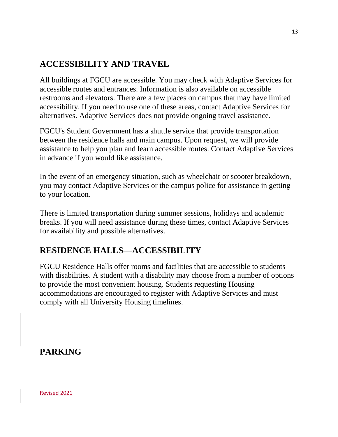## **ACCESSIBILITY AND TRAVEL**

All buildings at FGCU are accessible. You may check with Adaptive Services for accessible routes and entrances. Information is also available on accessible restrooms and elevators. There are a few places on campus that may have limited accessibility. If you need to use one of these areas, contact Adaptive Services for alternatives. Adaptive Services does not provide ongoing travel assistance.

FGCU's Student Government has a shuttle service that provide transportation between the residence halls and main campus. Upon request, we will provide assistance to help you plan and learn accessible routes. Contact Adaptive Services in advance if you would like assistance.

In the event of an emergency situation, such as wheelchair or scooter breakdown, you may contact Adaptive Services or the campus police for assistance in getting to your location.

There is limited transportation during summer sessions, holidays and academic breaks. If you will need assistance during these times, contact Adaptive Services for availability and possible alternatives.

## **RESIDENCE HALLS—ACCESSIBILITY**

FGCU Residence Halls offer rooms and facilities that are accessible to students with disabilities. A student with a disability may choose from a number of options to provide the most convenient housing. Students requesting Housing accommodations are encouraged to register with Adaptive Services and must comply with all University Housing timelines.

#### **PARKING**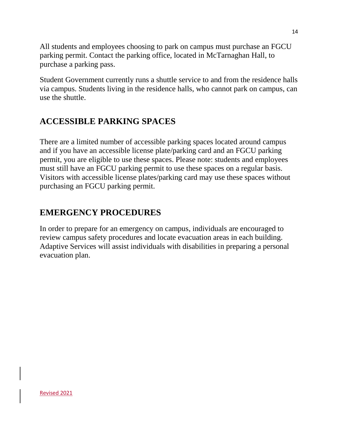All students and employees choosing to park on campus must purchase an FGCU parking permit. Contact the parking office, located in McTarnaghan Hall, to purchase a parking pass.

Student Government currently runs a shuttle service to and from the residence halls via campus. Students living in the residence halls, who cannot park on campus, can use the shuttle.

#### **ACCESSIBLE PARKING SPACES**

There are a limited number of accessible parking spaces located around campus and if you have an accessible license plate/parking card and an FGCU parking permit, you are eligible to use these spaces. Please note: students and employees must still have an FGCU parking permit to use these spaces on a regular basis. Visitors with accessible license plates/parking card may use these spaces without purchasing an FGCU parking permit.

#### **EMERGENCY PROCEDURES**

In order to prepare for an emergency on campus, individuals are encouraged to review campus safety procedures and locate evacuation areas in each building. Adaptive Services will assist individuals with disabilities in preparing a personal evacuation plan.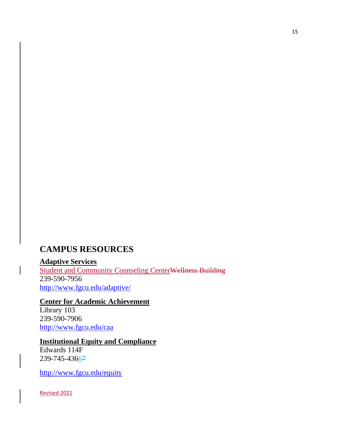#### **CAMPUS RESOURCES**

**Adaptive Services** Student and Community Counseling CenterWellness Building 239-590-7956 <http://www.fgcu.edu/adaptive/>

**Center for Academic Achievement** Library 103 239-590-7906

<http://www.fgcu.edu/caa>

#### **Institutional Equity and Compliance**

Edwards 114F 239-745-43667

<http://www.fgcu.edu/equity>